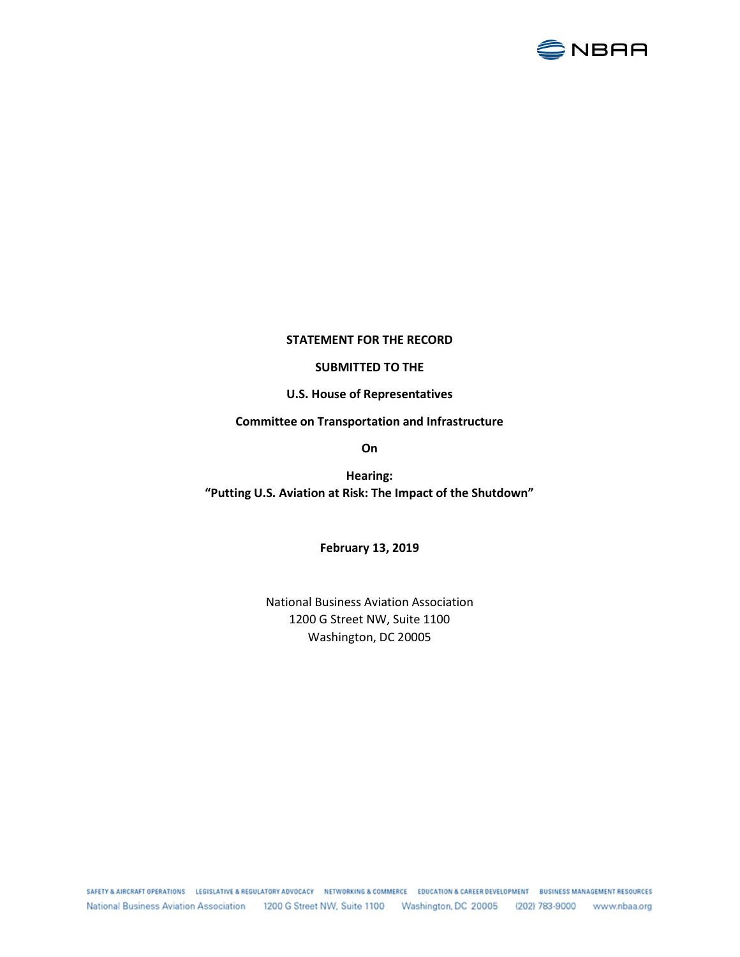

## STATEMENT FOR THE RECORD

## SUBMITTED TO THE

U.S. House of Representatives

## Committee on Transportation and Infrastructure

On

Hearing: "Putting U.S. Aviation at Risk: The Impact of the Shutdown"

February 13, 2019

National Business Aviation Association 1200 G Street NW, Suite 1100 Washington, DC 20005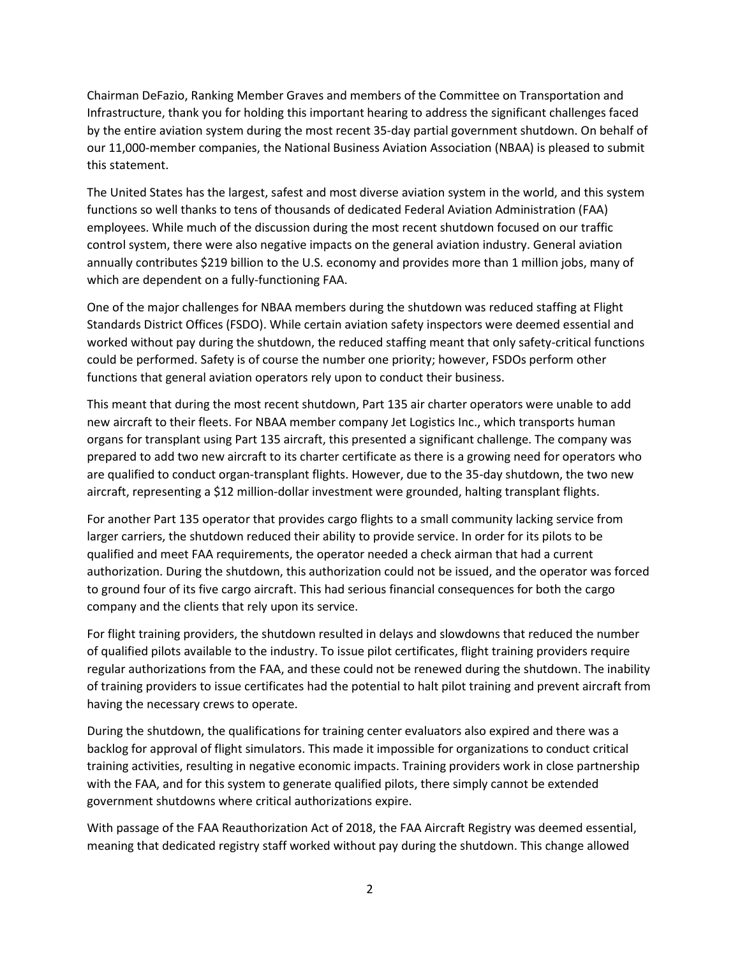Chairman DeFazio, Ranking Member Graves and members of the Committee on Transportation and Infrastructure, thank you for holding this important hearing to address the significant challenges faced by the entire aviation system during the most recent 35-day partial government shutdown. On behalf of our 11,000-member companies, the National Business Aviation Association (NBAA) is pleased to submit this statement.

The United States has the largest, safest and most diverse aviation system in the world, and this system functions so well thanks to tens of thousands of dedicated Federal Aviation Administration (FAA) employees. While much of the discussion during the most recent shutdown focused on our traffic control system, there were also negative impacts on the general aviation industry. General aviation annually contributes \$219 billion to the U.S. economy and provides more than 1 million jobs, many of which are dependent on a fully-functioning FAA.

One of the major challenges for NBAA members during the shutdown was reduced staffing at Flight Standards District Offices (FSDO). While certain aviation safety inspectors were deemed essential and worked without pay during the shutdown, the reduced staffing meant that only safety-critical functions could be performed. Safety is of course the number one priority; however, FSDOs perform other functions that general aviation operators rely upon to conduct their business.

This meant that during the most recent shutdown, Part 135 air charter operators were unable to add new aircraft to their fleets. For NBAA member company Jet Logistics Inc., which transports human organs for transplant using Part 135 aircraft, this presented a significant challenge. The company was prepared to add two new aircraft to its charter certificate as there is a growing need for operators who are qualified to conduct organ-transplant flights. However, due to the 35-day shutdown, the two new aircraft, representing a \$12 million-dollar investment were grounded, halting transplant flights.

For another Part 135 operator that provides cargo flights to a small community lacking service from larger carriers, the shutdown reduced their ability to provide service. In order for its pilots to be qualified and meet FAA requirements, the operator needed a check airman that had a current authorization. During the shutdown, this authorization could not be issued, and the operator was forced to ground four of its five cargo aircraft. This had serious financial consequences for both the cargo company and the clients that rely upon its service.

For flight training providers, the shutdown resulted in delays and slowdowns that reduced the number of qualified pilots available to the industry. To issue pilot certificates, flight training providers require regular authorizations from the FAA, and these could not be renewed during the shutdown. The inability of training providers to issue certificates had the potential to halt pilot training and prevent aircraft from having the necessary crews to operate.

During the shutdown, the qualifications for training center evaluators also expired and there was a backlog for approval of flight simulators. This made it impossible for organizations to conduct critical training activities, resulting in negative economic impacts. Training providers work in close partnership with the FAA, and for this system to generate qualified pilots, there simply cannot be extended government shutdowns where critical authorizations expire.

With passage of the FAA Reauthorization Act of 2018, the FAA Aircraft Registry was deemed essential, meaning that dedicated registry staff worked without pay during the shutdown. This change allowed